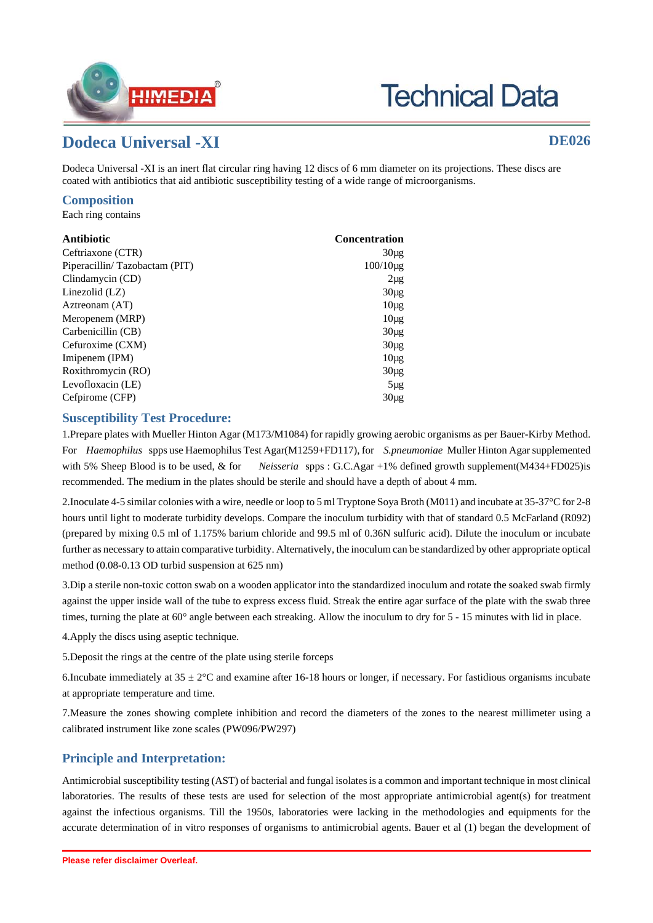

# **Technical Data**

## **Dodeca Universal -XI DE026**

Dodeca Universal -XI is an inert flat circular ring having 12 discs of 6 mm diameter on its projections. These discs are coated with antibiotics that aid antibiotic susceptibility testing of a wide range of microorganisms.

#### **Composition**

Each ring contains

| Antibiotic                    | <b>Concentration</b> |
|-------------------------------|----------------------|
| Ceftriaxone (CTR)             | $30\mu$ g            |
| Piperacillin/Tazobactam (PIT) | $100/10 \mu$ g       |
| Clindamycin (CD)              | $2\mu$ g             |
| Linezolid $(LZ)$              | $30\mu$ g            |
| Aztreonam (AT)                | $10\mu$ g            |
| Meropenem (MRP)               | $10\mu$ g            |
| Carbenicillin (CB)            | $30\mu$ g            |
| Cefuroxime (CXM)              | $30\mu$ g            |
| Imipenem (IPM)                | $10\mu$ g            |
| Roxithromycin (RO)            | $30\mu$ g            |
| Levofloxacin (LE)             | $5\mu$ g             |
| Cefpirome (CFP)               | $30\mu$ g            |

#### **Susceptibility Test Procedure:**

1.Prepare plates with Mueller Hinton Agar (M173/M1084) for rapidly growing aerobic organisms as per Bauer-Kirby Method. For *Haemophilus* spps use Haemophilus Test Agar(M1259+FD117), for *S.pneumoniae* Muller Hinton Agar supplemented with 5% Sheep Blood is to be used, & for *Neisseria* spps : G.C.Agar +1% defined growth supplement(M434+FD025)is recommended. The medium in the plates should be sterile and should have a depth of about 4 mm.

2.Inoculate 4-5 similar colonies with a wire, needle or loop to 5 ml Tryptone Soya Broth (M011) and incubate at 35-37°C for 2-8 hours until light to moderate turbidity develops. Compare the inoculum turbidity with that of standard 0.5 McFarland (R092) (prepared by mixing 0.5 ml of 1.175% barium chloride and 99.5 ml of 0.36N sulfuric acid). Dilute the inoculum or incubate further as necessary to attain comparative turbidity. Alternatively, the inoculum can be standardized by other appropriate optical method (0.08-0.13 OD turbid suspension at 625 nm)

3.Dip a sterile non-toxic cotton swab on a wooden applicator into the standardized inoculum and rotate the soaked swab firmly against the upper inside wall of the tube to express excess fluid. Streak the entire agar surface of the plate with the swab three times, turning the plate at 60° angle between each streaking. Allow the inoculum to dry for 5 - 15 minutes with lid in place.

4.Apply the discs using aseptic technique.

5.Deposit the rings at the centre of the plate using sterile forceps

6.Incubate immediately at  $35 \pm 2$ °C and examine after 16-18 hours or longer, if necessary. For fastidious organisms incubate at appropriate temperature and time.

7.Measure the zones showing complete inhibition and record the diameters of the zones to the nearest millimeter using a calibrated instrument like zone scales (PW096/PW297)

### **Principle and Interpretation:**

Antimicrobial susceptibility testing (AST) of bacterial and fungal isolates is a common and important technique in most clinical laboratories. The results of these tests are used for selection of the most appropriate antimicrobial agent(s) for treatment against the infectious organisms. Till the 1950s, laboratories were lacking in the methodologies and equipments for the accurate determination of in vitro responses of organisms to antimicrobial agents. Bauer et al (1) began the development of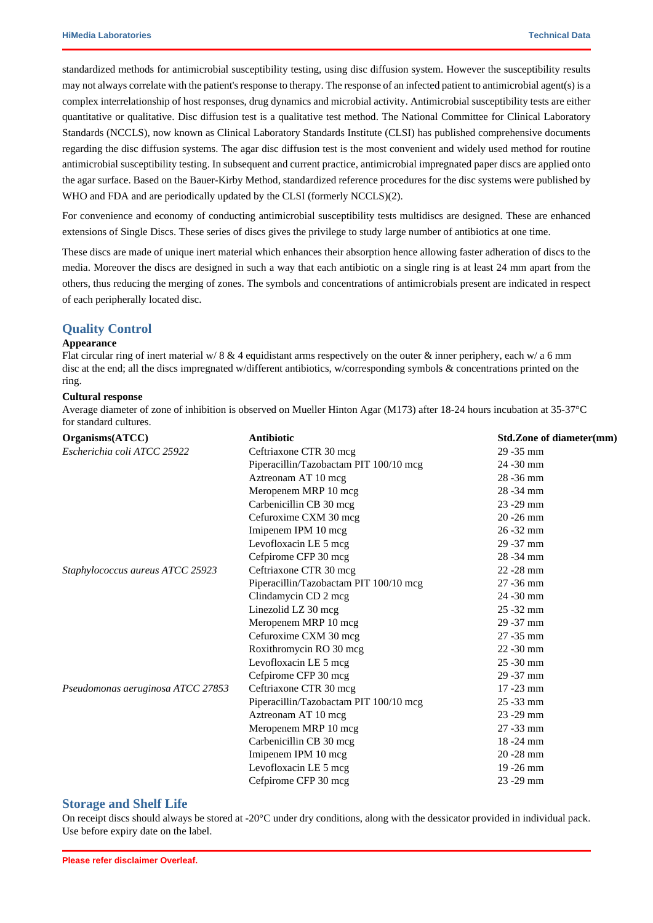standardized methods for antimicrobial susceptibility testing, using disc diffusion system. However the susceptibility results may not always correlate with the patient's response to therapy. The response of an infected patient to antimicrobial agent(s) is a complex interrelationship of host responses, drug dynamics and microbial activity. Antimicrobial susceptibility tests are either quantitative or qualitative. Disc diffusion test is a qualitative test method. The National Committee for Clinical Laboratory Standards (NCCLS), now known as Clinical Laboratory Standards Institute (CLSI) has published comprehensive documents regarding the disc diffusion systems. The agar disc diffusion test is the most convenient and widely used method for routine antimicrobial susceptibility testing. In subsequent and current practice, antimicrobial impregnated paper discs are applied onto the agar surface. Based on the Bauer-Kirby Method, standardized reference procedures for the disc systems were published by WHO and FDA and are periodically updated by the CLSI (formerly NCCLS)(2).

For convenience and economy of conducting antimicrobial susceptibility tests multidiscs are designed. These are enhanced extensions of Single Discs. These series of discs gives the privilege to study large number of antibiotics at one time.

These discs are made of unique inert material which enhances their absorption hence allowing faster adheration of discs to the media. Moreover the discs are designed in such a way that each antibiotic on a single ring is at least 24 mm apart from the others, thus reducing the merging of zones. The symbols and concentrations of antimicrobials present are indicated in respect of each peripherally located disc.

#### **Quality Control**

#### **Appearance**

Flat circular ring of inert material w/  $8 \& 4$  equidistant arms respectively on the outer  $\&$  inner periphery, each w/ a 6 mm disc at the end; all the discs impregnated w/different antibiotics, w/corresponding symbols & concentrations printed on the ring.

#### **Cultural response**

Average diameter of zone of inhibition is observed on Mueller Hinton Agar (M173) after 18-24 hours incubation at 35-37°C for standard cultures.

| Organisms(ATCC)                   | <b>Antibiotic</b>                      | Std.Zone of diameter(mm) |
|-----------------------------------|----------------------------------------|--------------------------|
| Escherichia coli ATCC 25922       | Ceftriaxone CTR 30 mcg                 | 29 - 35 mm               |
|                                   | Piperacillin/Tazobactam PIT 100/10 mcg | 24 - 30 mm               |
|                                   | Aztreonam AT 10 mcg                    | $28 - 36$ mm             |
|                                   | Meropenem MRP 10 mcg                   | 28 - 34 mm               |
|                                   | Carbenicillin CB 30 mcg                | 23 - 29 mm               |
|                                   | Cefuroxime CXM 30 mcg                  | $20 - 26$ mm             |
|                                   | Imipenem IPM 10 mcg                    | $26 - 32$ mm             |
|                                   | Levofloxacin LE 5 mcg                  | $29 - 37$ mm             |
|                                   | Cefpirome CFP 30 mcg                   | 28 - 34 mm               |
| Staphylococcus aureus ATCC 25923  | Ceftriaxone CTR 30 mcg                 | $22 - 28$ mm             |
|                                   | Piperacillin/Tazobactam PIT 100/10 mcg | $27 - 36$ mm             |
|                                   | Clindamycin CD 2 mcg                   | 24 - 30 mm               |
|                                   | Linezolid LZ 30 mcg                    | $25 - 32$ mm             |
|                                   | Meropenem MRP 10 mcg                   | $29 - 37$ mm             |
|                                   | Cefuroxime CXM 30 mcg                  | $27 - 35$ mm             |
|                                   | Roxithromycin RO 30 mcg                | $22 - 30$ mm             |
|                                   | Levofloxacin LE 5 mcg                  | $25 - 30$ mm             |
|                                   | Cefpirome CFP 30 mcg                   | $29 - 37$ mm             |
| Pseudomonas aeruginosa ATCC 27853 | Ceftriaxone CTR 30 mcg                 | $17 - 23$ mm             |
|                                   | Piperacillin/Tazobactam PIT 100/10 mcg | $25 - 33$ mm             |
|                                   | Aztreonam AT 10 mcg                    | $23 - 29$ mm             |
|                                   | Meropenem MRP 10 mcg                   | $27 - 33$ mm             |
|                                   | Carbenicillin CB 30 mcg                | $18 - 24$ mm             |
|                                   | Imipenem IPM 10 mcg                    | $20 - 28$ mm             |
|                                   | Levofloxacin LE 5 mcg                  | 19 - 26 mm               |
|                                   | Cefpirome CFP 30 mcg                   | 23 - 29 mm               |
|                                   |                                        |                          |

#### **Storage and Shelf Life**

On receipt discs should always be stored at  $-20^{\circ}$ C under dry conditions, along with the dessicator provided in individual pack. Use before expiry date on the label.